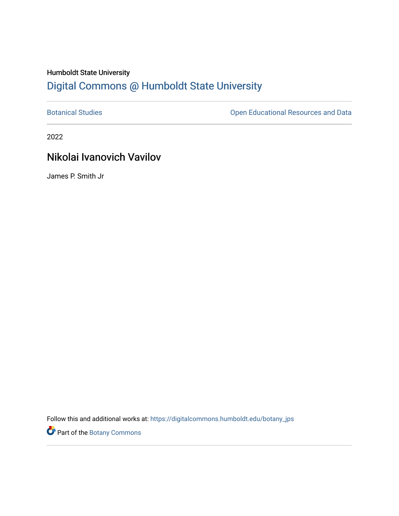## Humboldt State University [Digital Commons @ Humboldt State University](https://digitalcommons.humboldt.edu/)

[Botanical Studies](https://digitalcommons.humboldt.edu/botany_jps) **Botanical Studies Open Educational Resources and Data** 

2022

# Nikolai Ivanovich Vavilov

James P. Smith Jr

Follow this and additional works at: [https://digitalcommons.humboldt.edu/botany\\_jps](https://digitalcommons.humboldt.edu/botany_jps?utm_source=digitalcommons.humboldt.edu%2Fbotany_jps%2F102&utm_medium=PDF&utm_campaign=PDFCoverPages) 

Part of the [Botany Commons](http://network.bepress.com/hgg/discipline/104?utm_source=digitalcommons.humboldt.edu%2Fbotany_jps%2F102&utm_medium=PDF&utm_campaign=PDFCoverPages)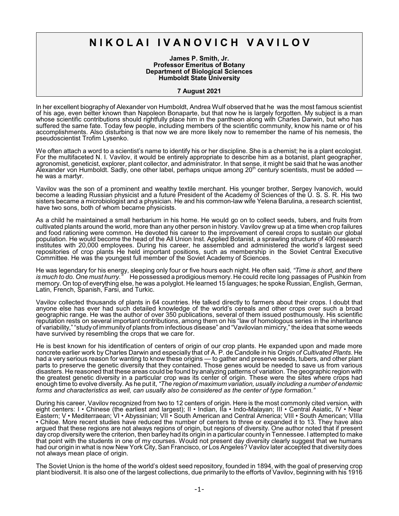# **N I K O L A I I V A N O V I C H V A V I L O V**

**James P. Smith, Jr. Professor Emeritus of Botany Department of Biological Sciences Humboldt State University**

#### **7 August 2021**

In her excellent biography of Alexander von Humboldt, Andrea Wulf observed that he was the most famous scientist of his age, even better known than Napoleon Bonaparte, but that now he is largely forgotten. My subject is a man whose scientific contributions should rightfully place him in the pantheon along with Charles Darwin, but who has suffered the same fate. Today few people, including members of the scientific community, know his name or of his accomplishments. Also disturbing is that now we are more likely now to remember the name of his nemesis, the pseudoscientist Trofim Lysenko.

We often attach a word to a scientist's name to identify his or her discipline. She is a chemist; he is a plant ecologist. For the multifaceted N. I. Vavilov, it would be entirely appropriate to describe him as a botanist, plant geographer, agronomist, geneticist, explorer, plant collector, and administrator. In that sense, it might be said that he was another Alexander von Humboldt. Sadly, one other label, perhaps unique among  $20<sup>th</sup>$  century scientists, must be added he was a martyr.

Vavilov was the son of a prominent and wealthy textile merchant. His younger brother, Sergey Ivanovich, would become a leading Russian physicist and a future President of the Academy of Sciences of the U. S. S. R. His two sisters became a microbiologist and a physician. He and his common-law wife Yelena Barulina, a research scientist, have two sons, both of whom became physicists.

As a child he maintained a small herbarium in his home. He would go on to collect seeds, tubers, and fruits from cultivated plants around the world, more than any other person in history. Vavilov grew up at a time when crop failures and food rationing were common. He devoted his career to the improvement of cereal crops to sustain our global population. He would become the head of the All Union Inst. Applied Botanist, a sprawling structure of 400 research institutes with 20,000 employees. During his career, he assembled and administered the world's largest seed repositories of crop plants He held important positions, such as membership in the Soviet Central Executive Committee. He was the youngest full member of the Soviet Academy of Sciences.

He was legendary for his energy, sleeping only four or five hours each night. He often said, *"Time is short, and there is much to do. One must hurry."* He possessed a prodigious memory. He could recite long passages of Pushkin from memory. On top of everything else, he was a polyglot. He learned 15 languages; he spoke Russian, English, German, Latin, French, Spanish, Farsi, and Turkic.

Vavilov collected thousands of plants in 64 countries. He talked directly to farmers about their crops. I doubt that anyone else has ever had such detailed knowledge of the world's cereals and other crops over such a broad geographic range. He was the author of over 350 publications, several of them issued posthumously. His scientific reputation rests on several important contributions, among them on his "law of homologous series in the inheritance of variability," "studyof immunityof plants from infectious disease" and "Vavilovian mimicry," the idea that some weeds have survived by resembling the crops that we care for.

He is best known for his identification of centers of origin of our crop plants. He expanded upon and made more concrete earlier work by Charles Darwin and especially that of A. P. de Candolle in his *Origin of Cultivated Plants*. He had a very serious reason for wanting to know these origins — to gather and preserve seeds, tubers, and other plant parts to preserve the genetic diversity that they contained. Those genes would be needed to save us from various disasters. He reasoned that these areas could be found by analyzing patterns of variation. The geographic region with the greatest genetic diversity in a particular crop was its center of origin. These were the sites where crops had enough time to evolve diversity. As he put it, *"The region of maximum variation, usually including a number of endemic forms and characteristics as well, can usually also be considered as the center of type formation."*

During his career, Vavilov recognized from two to 12 centers of origin. Here is the most commonly cited version, with eight centers: I • Chinese (the earliest and largest); II • Indian, IIa • Indo-Malayan; III • Central Asiatic, IV • Near Eastern; V • Mediterraean; VI • Abyssinian; VII • South American and Central America; VIII • South American; VIIIa • Chiloe. More recent studies have reduced the number of centers to three or expanded it to 13. They have also argued that these regions are not always regions of origin, but regions of diversity. One author noted that if present day crop diversity were the criterion, then barley had its origin in a particular county in Tennessee. I attempted to make that point with the students in one of my courses. Would not present day diversity clearly suggest that we humans had our origin in what is now New York City, San Francisco, or Los Angeles? Vavilov later accepted that diversity does not always mean place of origin.

The Soviet Union is the home of the world's oldest seed repository, founded in 1894, with the goal of preserving crop plant biodiversit. It is also one of the largest collections, due primarily to the efforts of Vavilov, beginning with his 1916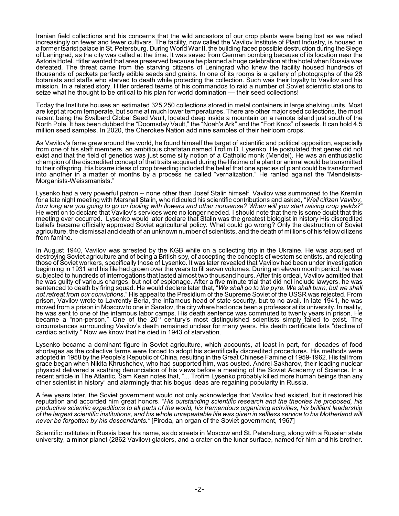Iranian field collections and his concerns that the wild ancestors of our crop plants were being lost as we relied increasingly on fewer and fewer cultivars. The facility, now called the Vavilov Institute of Plant Industry, is housed in a former tsarist palace in St. Petersburg. During World War II, the building faced possible destruction during the Siege of Leningrad, as the city was called at the time. It was saved from German bombing because of its location near the Astoria Hotel. Hitler wanted that area preserved because he planned a huge celebration at the hotel when Russia was defeated. The threat came from the starving citizens of Leningrad who knew the facility housed hundreds of thousands of packets perfectly edible seeds and grains. In one of its rooms is a gallery of photographs of the 28 botanists and staffs who starved to death while protecting the collection. Such was their loyalty to Vavilov and his mission. In a related story, Hitler ordered teams of his commandos to raid a number of Soviet scientific stations to seize what he thought to be critical to his plan for world domination — their seed collections!

Today the Institute houses an estimated 325,250 collections stored in metal containers in large shelving units. Most are kept at room temperate, but some at much lower temperatures. There are other major seed collections, the most recent being the Svalbard Global Seed Vault, located deep inside a mountain on a remote island just south of the North Pole. It has been dubbed the "Doomsday Vault," the "Noah's Ark" and the "Fort Knox" of seeds. It can hold 4.5 million seed samples. In 2020, the Cherokee Nation add nine samples of their heirloom crops.

As Vavilov's fame grew around the world, he found himself the target of scientific and political opposition, especially from one of his staff members, an ambitious charlatan named Trofim D. Lysenko. He postulated that genes did not exist and that the field of genetics was just some silly notion of a Catholic monk (Mendel). He was an enthusiastic champion of the discredited concept of that traits acquired during the lifetime of a plant or animal would be transmitted to their offspring. His bizarre ideas of crop breeding included the belief that one species of plant could be transformed into another in a matter of months by a process he called "vernalization." He ranted against the "Mendelists-Morganists-Weissmanists."

Lysenko had a very powerful patron -- none other than Josef Stalin himself. Vavilov was summoned to the Kremlin for a late night meeting with Marshall Stalin, who ridiculed his scientific contributions and asked, "*Well citizen Vavilov, how long are you going to go on fooling with flowers and other nonsense? When will you start raising crop yields?"* He went on to declare that Vavilov's services were no longer needed. I should note that there is some doubt that this meeting ever occurred. Lysenko would later declare that Stalin was the greatest biologist in history His discredited beliefs became officially approved Soviet agricultural policy. What could go wrong? Only the destruction of Soviet agriculture, the dismissal and death of an unknown number of scientists, and the death of millions of his fellow citizens from famine.

In August 1940, Vavilov was arrested by the KGB while on a collecting trip in the Ukraine. He was accused of destroying Soviet agriculture and of being a British spy, of accepting the concepts of western scientists, and rejecting those of Soviet workers, specifically those of Lysenko. It was later revealed that Vavilov had been under investigation beginning in 1931 and his file had grown over the years to fill seven volumes. During an eleven month period, he was subjected to hundreds of interrogations that lasted almost two thousand hours. After this ordeal, Vavilov admitted that he was guilty of various charges, but not of espionage. After a five minute trial that did not include lawyers, he was sentenced to death by firing squad. He would declare later that, "*We shall go to the pyre. We shall burn, but we shall not retreat from our convictions*." His appeal to the Presidium of the Supreme Soviet of the USSR was rejected. From prison, Vavilov wrote to Lavrentiy Beria, the infamous head of state security, but to no avail. In late 1941, he was moved from a prison in Moscow to one in Saratov, the city where had once been a professor at its university. In reality, he was sent to one of the infamous labor camps. His death sentence was commuted to twenty years in prison. He became a "non-person." One of the 20<sup>th</sup> century's most distinguished scientists simply failed to exist. The circumstances surrounding Vavilov's death remained unclear for many years. His death certificate lists "decline of cardiac activity." Now we know that he died in 1943 of starvation.

Lysenko became a dominant figure in Soviet agriculture, which accounts, at least in part, for decades of food shortages as the collective farms were forced to adopt his scientifically discredited procedures. His methods were adopted in 1958 by the People's Republic of China, resulting in the Great Chinese Famine of 1959-1962. His fall from grace began when Nikita Khrushchev, who had supported him, was ousted. Andrei Sakharov, their leading nuclear physicist delivered a scathing denunciation of his views before a meeting of the Soviet Academy of Science. In a recent article in The Atlantic, Sam Kean notes that, "... Trofim Lysenko probably killed more human beings than any other scientist in history" and alarmingly that his bogus ideas are regaining popularity in Russia.

A few years later, the Soviet government would not only acknowledge that Vavilov had existed, but it restored his reputation and accorded him great honors. "*His outstanding scientific research and the theories he proposed, his productive scientiic expeditions to all parts of the world, his tremendous organizing activities, his brilliant leadership of the largest scientific institutions, and his whole unrepeatable life was given in selfless service to his Motherland will never be forgotten by his descendants."* [Piroda, an organ of the Soviet government, 1967]

Scientific institutes in Russia bear his name, as do streets in Moscow and St. Petersburg, along with a Russian state university, a minor planet (2862 Vavilov) glaciers, and a crater on the lunar surface, named for him and his brother.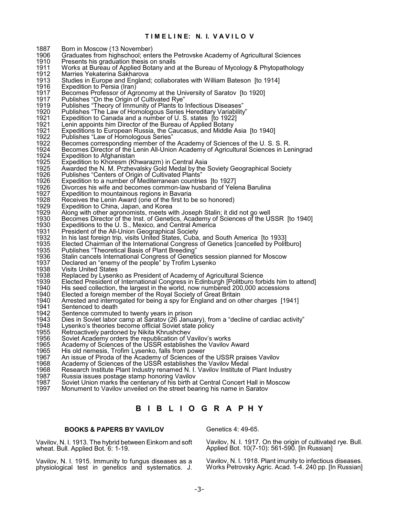### **T I M E L I N E: N. I. V A V I L O V**

1887 Born in Moscow (13 November)<br>1906 Graduates from highschool: ent 1906 Graduates from highschool; enters the Petrovske Academy of Agricultural Sciences<br>1910 Presents his graduation thesis on snails 1910 Presents his graduation thesis on snails<br>1911 Works at Bureau of Applied Botany and 1911 Morks at Bureau of Applied Botany and at the Bureau of Mycology & Phytopathology<br>1912 Marries Yekaterina Sakharova 1912 Marries Yekaterina Sakharova<br>1913 Studies in Europe and England 1913 Studies in Europe and England; collaborates with William Bateson [to 1914] 1916 Expedition to Persia (Iran)<br>1917 Becomes Professor of Agr 1917 Becomes Professor of Agronomy at the University of Saratov [to 1920] 1917 Publishes "On the Origin of Cultivated Rye" 1919 Publishes "Theory of Immunity of Plants to Infectious Diseases" 1920 Publishes "The Law of Homologous Series Hereditary Variability" 1921 Expedition to Canada and a number of U. S. states [to 1922]<br>1921 Lenin appoints him Director of the Bureau of Applied Botany<br>1921 Expeditions to European Russia, the Caucasus, and Middle A Lenin appoints him Director of the Bureau of Applied Botany 1921 Expeditions to European Russia, the Caucasus, and Middle Asia [to 1940]<br>1922 Publishes "Law of Homologous Series" 1922 Publishes "Law of Homologous Series"<br>1922 Becomes corresponding member of the 1922 Becomes corresponding member of the Academy of Sciences of the U. S. S. R.<br>1924 Becomes Director of the Lenin All-Union Academy of Agricultural Sciences in Le 1924 Becomes Director of the Lenin All-Union Academy of Agricultural Sciences in Leningrad<br>1924 Expedition to Afghanistan 1924 Expedition to Afghanistan<br>1925 Expedition to Khoresm (Kl<br>1925 Awarded the N. M. Przhev Expedition to Khoresm (Khwarazm) in Central Asia 1925 Awarded the N. M. Przhevalsky Gold Medal by the Soviety Geographical Society 1926 Publishes "Centers of Origin of Cultivated Plants" 1926 Expedition to a number of Mediterranean countries [to 1927] 1926 Divorces his wife and becomes common-law husband of Yelena Barulina<br>1927 Expedition to mountainous regions in Bavaria 1927 Expedition to mountainous regions in Bavaria<br>1928 Receives the Lenin Award (one of the first to l 1928 Receives the Lenin Award (one of the first to be so honored)<br>1929 Expedition to China, Japan, and Korea 1929 Expedition to China, Japan, and Korea 1929 Along with other agronomists, meets with Joseph Stalin; it did not go well 1930 Becomes Director of the Inst. of Genetics, Academy of Sciences of the USSR [to 1940]<br>1930 Expeditions to the U.S., Mexico, and Central America 1930 Expeditions to the U. S., Mexico, and Central America<br>1931 President of the All-Union Geographical Society 1931 President of the All-Union Geographical Society<br>1932 In his last foreign trip, visits United States, Cuba 1932 In his last foreign trip, visits United States, Cuba, and South America [to 1933]<br>1935 Elected Chairman of the International Congress of Genetics [cancelled by Polit 1935 Elected Chairman of the International Congress of Genetics [cancelled by Politburo]<br>1935 Publishes "Theoretical Basis of Plant Breeding" 1935 Publishes "Theoretical Basis of Plant Breeding" 1936 Stalin cancels International Congress of Genetics session planned for Moscow<br>1937 Declared an "enemy of the people" by Trofim Lysenko 1937 Declared an "enemy of the people" by Trofim Lysenko 1938 Visits United States<br>1938 Replaced by Lysenk 1938 Replaced by Lysenko as President of Academy of Agricultural Science<br>1939 Elected President of International Congress in Edinburgh [Politburo for 1939 Elected President of International Congress in Edinburgh [Politburo forbids him to attend] 1940 His seed collection, the largest in the world, now numbered 200,000 accessions 1940 Elected a foreign member of the Royal Society of Great Britain<br>1940 Arrested and interrogated for being a spy for England and on o 1940 Arrested and interrogated for being a spy for England and on other charges [1941]<br>1941 Sentenced to death 1941 Sentenced to death<br>1942 Sentence commute 1942 Sentence commuted to twenty years in prison 1943 Dies in Soviet labor camp at Saratov (26 January), from a "decline of cardiac activity" 1948 Lysenko's theories become official Soviet state policy<br>1955 Retroactively pardoned by Nikita Khrushchev 1955 Retroactively pardoned by Nikita Khrushchev<br>1956 Soviet Academy orders the republication of V 1956 Soviet Academy orders the republication of Vavilov's works<br>1965 Academy of Sciences of the USSR establishes the Vavilov 1965 Academy of Sciences of the USSR establishes the Vavilov Award<br>1965 His old nemesis. Trofim Lysenko, falls from power 1965 His old nemesis, Trofim Lysenko, falls from power 1967 An issue of Piroda of the Academy of Sciences of the USSR praises Vavilov 1968 Academy of Sciences of the USSR establishes the Vavilov Medal 1968 Research Institute Plant Industry renamed N. I. Vavilov Institute of Plant Industry<br>1987 Russia issues postage stamp honoring Vavilov 1987 Russia issues postage stamp honoring Vavilov<br>1987 Soviet Union marks the centenary of his birth at 1987 Soviet Union marks the centenary of his birth at Central Concert Hall in Moscow<br>1997 Monument to Vavilov unveiled on the street bearing his name in Saratov Monument to Vavilov unveiled on the street bearing his name in Saratov **B I B L I O G R A P H Y**

### **BOOKS & PAPERS BY VAVILOV**

Vavilov, N. I. 1913. The hybrid between Einkorn and soft wheat. Bull. Applied Bot. 6: 1-19.

Vavilov, N. I. 1915. Immunity to fungus diseases as a physiological test in genetics and systematics. J. Genetics 4: 49-65.

Vavilov, N. I. 1917. On the origin of cultivated rye. Bull. Applied Bot. 10(7-10): 561-590. [In Russian]

Vavilov, N. I. 1918. Plant imunity to infectious diseases. Works Petrovsky Agric. Acad. 1-4. 240 pp. [In Russian]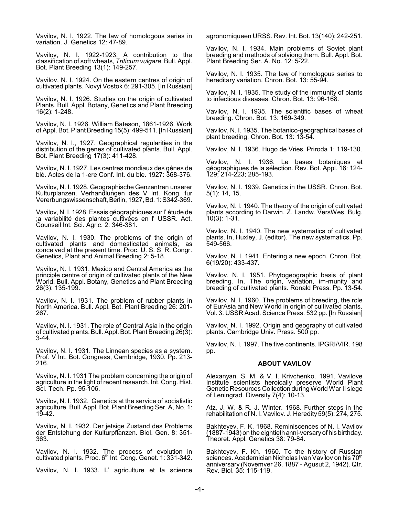Vavilov, N. I. 1922. The law of homologous series in variation. J. Genetics 12: 47-89.

Vavilov, N. I. 1922-1923. A contribution to the classification of soft wheats, *Triticum vulgare*. Bull. Appl. Bot. Plant Breeding 13(1): 149-257.

Vavilov, N. I. 1924. On the eastern centres of origin of cultivated plants. Novyi Vostok 6: 291-305. [In Russian[

Vavilov, N. I. 1926. Studies on the origin of cultivated Plants. Bull. Appl. Botany, Genetics and Plant Breeding 16(2): 1-248.

Vavilov, N. I. 1926. William Bateson, 1861-1926. Work of Appl. Bot. Plant Breeding 15(5): 499-511. [In Russian]

Vavilov, N. I., 1927. Geographical regularities in the distribution of the genes of cultivated plants. Bull. Appl. Bot. Plant Breeding 17(3): 411-428.

Vavilov, N. I. 1927. Les centres mondiaux des génes de blé. Actes de la 1-ere Conf. Int. du ble. 1927: 368-376.

Vavilov, N. I. 1928. Geographische Genzentren unserer Kulturplanzen. Verhandlungen des V Int. Kong. fur Vererbungswissenschaft,Berlin, 1927, Bd. 1: S342-369.

Vavilov, N. I. 1928. Essais géographiques sur l' étude de ;a variabilité des plantes cultivées en l' USSR. Act. Counseil Int. Sci. Agric. 2: 346-381.

Vavilov, N. I. 1930. The problems of the origin of cultivated plants and domesticated animals, as conceived at the present time. Proc. U. S. S. R. Congr. Genetics, Plant and Animal Breeding 2: 5-18.

Vavilov, N. I. 1931. Mexico and Central America as the principle centre of origin of cultivated plants of the New World. Bull. Appl. Botany, Genetics and Plant Breeding 26(3): 135-199.

Vavilov, N. I. 1931. The problem of rubber plants in North America. Bull. Appl. Bot. Plant Breeding 26: 201- 267.

Vavilov, N. I. 1931. The role of Central Asia in the origin of cultivated plants. Bull. Appl.Bot. Plant Breeding 26(3): 3-44.

Vavilov, N. I. 1931. The Linnean species as a system. Prof. V Int. Bot. Congress, Cambridge, 1930. Pp. 213-216.

Vavilov, N. I. 1931 The problem concerning the origin of agriculture in the light of recent research. Int. Cong. Hist. Sci. Tech. Pp. 95-106.

Vavilov, N. I. 1932. Genetics at the service of socialistic agriculture. Bull. Appl. Bot. Plant Breeding Ser. A, No. 1: 19-42.

Vavilov, N. I. 1932. Der jetsige Zustand des Problems der Entstehung der Kulturpflanzen. Biol. Gen. 8: 351- 363.

Vavilov, N. I. 1932. The process of evolution in cultivated plants. Proc. 6<sup>th</sup> Int. Cong. Genet. 1: 331-342.

Vavilov, N. I. 1933. L' agriculture et la science

agronomiqueen URSS. Rev. Int. Bot. 13(140): 242-251.

Vavilov, N. I. 1934. Main problems of Soviet plant breeding and methods of solviong them. Bull. Appl. Bot. Plant Breeding Ser. A. No. 12: 5-22.

Vavilov, N. I. 1935. The law of homologous series to hereditary variation. Chron. Bot. 13: 55-94.

Vavilov, N. I. 1935. The study of the immunity of plants to infectious diseases. Chron. Bot. 13: 96-168.

Vavilov, N. I. 1935. The scientific bases of wheat breeding. Chron. Bot. 13: 169-349.

Vavilov, N. I. 1935. The botanico-geographical bases of plant breeding. Chron. Bot. 13: 13-54.

Vavilov, N. I. 1936. Hugo de Vries. Priroda 1: 119-130.

Vavilov, N. I. 1936. Le bases botaniques et géographiques de la sélection. Rev. Bot. Appl. 16: 124- 129; 214-223; 285-193.

Vavilov, N. I. 1939. Genetics in the USSR. Chron. Bot. 5(1): 14, 15.

Vavilov, N. I. 1940. The theory of the origin of cultivated plants according to Darwin. Z. Landw. VersWes. Bulg. 10(3): 1-31.

Vavilov, N. I. 1940. The new systematics of cultivated plants. <u>In,</u> Huxley, J. (editor). The new systematics. Pp.  $549 - 566.$ 

Vavilov, N. I. 1941. Entering a new epoch. Chron. Bot. 6(19/20): 433-437.

Vavilov, N. I. 1951. Phytogeographic basis of plant breeding. <u>In,</u> The origin, variation, im-munity and breeding of cultivated plants. Ronald Press. Pp. 13-54.

Vavilov, N. I. 1960. The problems of breeding, the role of EurAsia and New World in origin of cultivated plants. Vol. 3. USSR Acad. Science Press. 532 pp. [In Russian]

Vavilov, N. I. 1992. Origin and geography of cultivated plants. Cambridge Univ. Press. 500 pp.

Vavilov, N. I. 1997. The five continents. IPGRI/VIR. 198 pp.

#### **ABOUT VAVILOV**

Alexanyan, S. M. & V. I. Krivchenko. 1991. Vavilove Institute scientists heroically preserve World Plant Genetic Resources Collection during World War II siege of Leningrad. Diversity 7(4): 10-13.

Atz, J. W. & R. J. Winter. 1968. Further steps in the rehabilitation of N. I. Vavilov. J. Heredity 59(5): 274, 275.

Bakhteyev, F. K. 1968. Reminiscences of N. I. Vavilov (1887-1943) on the eightieth anni-versaryof his birthday. Theoret. Appl. Genetics 38: 79-84.

Bakhteyev, F. Kh. 1960. To the history of Russian sciences. Academician Nicholas Ivan Vavilov on his 70<sup>th</sup> anniversary (Novemver 26, 1887 - Agusut 2, 1942). Qtr. Rev. Biol. 35: 115-119.